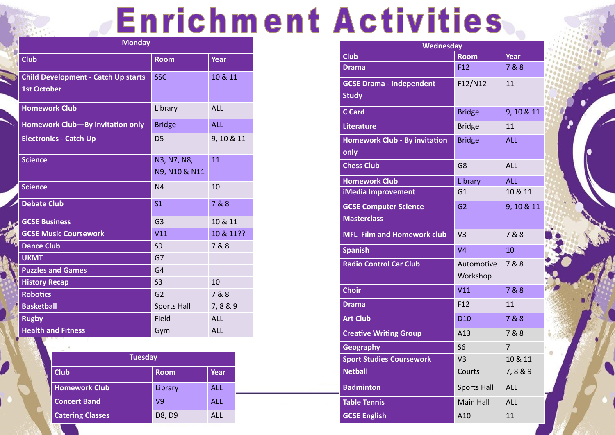## **Enrichment Activities**

| <b>Monday</b>                                                    |                              |             |
|------------------------------------------------------------------|------------------------------|-------------|
| <b>Club</b>                                                      | <b>Room</b>                  | <b>Year</b> |
| <b>Child Development - Catch Up starts</b><br><b>1st October</b> | <b>SSC</b>                   | 10 & 11     |
| <b>Homework Club</b>                                             | Library                      | <b>ALL</b>  |
| Homework Club-By invitation only                                 | <b>Bridge</b>                | <b>ALL</b>  |
| <b>Electronics - Catch Up</b>                                    | D <sub>5</sub>               | 9, 10 & 11  |
| <b>Science</b>                                                   | N3, N7, N8,<br>N9, N10 & N11 | 11          |
| <b>Science</b>                                                   | N <sub>4</sub>               | 10          |
| <b>Debate Club</b>                                               | S <sub>1</sub>               | 7&8         |
| <b>GCSE Business</b>                                             | G <sub>3</sub>               | 10 & 11     |
| <b>GCSE Music Coursework</b>                                     | V11                          | 10 & 11??   |
| <b>Dance Club</b>                                                | S <sub>9</sub>               | 7&8         |
| <b>UKMT</b>                                                      | G7                           |             |
| <b>Puzzles and Games</b>                                         | G <sub>4</sub>               |             |
| <b>History Recap</b>                                             | S <sub>3</sub>               | 10          |
| <b>Robotics</b>                                                  | G <sub>2</sub>               | 7&8         |
| <b>Basketball</b>                                                | <b>Sports Hall</b>           | 7,8&9       |
| <b>Rugby</b>                                                     | Field                        | <b>ALL</b>  |
| <b>Health and Fitness</b>                                        | Gym                          | <b>ALL</b>  |

| Wednesday                            |                    |                |
|--------------------------------------|--------------------|----------------|
| <b>Club</b>                          | <b>Room</b>        | <b>Year</b>    |
| <b>Drama</b>                         | F <sub>12</sub>    | 7&8            |
| <b>GCSE Drama - Independent</b>      | F12/N12            | 11             |
| <b>Study</b>                         |                    |                |
| <b>C</b> Card                        | <b>Bridge</b>      | 9, 10 & 11     |
| <b>Literature</b>                    | <b>Bridge</b>      | 11             |
| <b>Homework Club - By invitation</b> | <b>Bridge</b>      | <b>ALL</b>     |
| only                                 |                    |                |
| <b>Chess Club</b>                    | G <sub>8</sub>     | <b>ALL</b>     |
| <b>Homework Club</b>                 | Library            | <b>ALL</b>     |
| iMedia Improvement                   | G1                 | 10 & 11        |
| <b>GCSE Computer Science</b>         | G <sub>2</sub>     | 9, 10 & 11     |
| <b>Masterclass</b>                   |                    |                |
| <b>MFL Film and Homework club</b>    | V <sub>3</sub>     | 7&8            |
| <b>Spanish</b>                       | V <sub>4</sub>     | 10             |
| <b>Radio Control Car Club</b>        | Automotive         | 7 & 8          |
|                                      | Workshop           |                |
| <b>Choir</b>                         | V11                | 7&8            |
| <b>Drama</b>                         | F <sub>12</sub>    | 11             |
| <b>Art Club</b>                      | D <sub>10</sub>    | 7&8            |
| <b>Creative Writing Group</b>        | A13                | 7&8            |
| <b>Geography</b>                     | <b>S6</b>          | $\overline{7}$ |
| <b>Sport Studies Coursework</b>      | V <sub>3</sub>     | 10 & 11        |
| <b>Netball</b>                       | Courts             | 7,8&9          |
| <b>Badminton</b>                     | <b>Sports Hall</b> | <b>ALL</b>     |
| <b>Table Tennis</b>                  | <b>Main Hall</b>   | <b>ALL</b>     |
| <b>GCSE English</b>                  | A10                | 11             |





| <b>Tuesday</b>          |                |               |  |
|-------------------------|----------------|---------------|--|
| <b>Club</b>             | <b>Room</b>    | <b>Year</b>   |  |
| <b>Homework Club</b>    | Library        | <b>ALL</b>    |  |
| <b>Concert Band</b>     | V <sub>9</sub> | <b>ALL</b>    |  |
| <b>Catering Classes</b> | D8, D9         | $AI$ $\vdash$ |  |